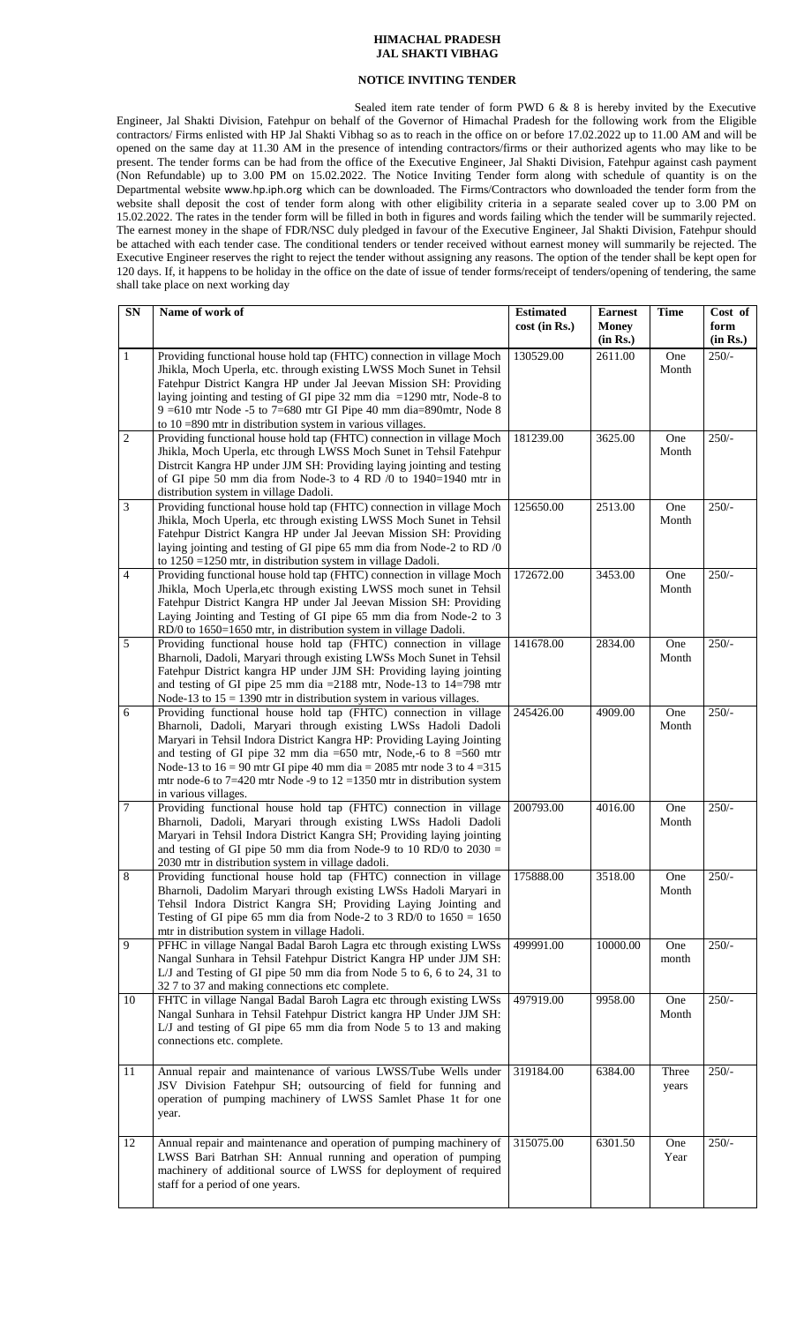## **HIMACHAL PRADESH JAL SHAKTI VIBHAG**

## **NOTICE INVITING TENDER**

Sealed item rate tender of form PWD 6 & 8 is hereby invited by the Executive Engineer, Jal Shakti Division, Fatehpur on behalf of the Governor of Himachal Pradesh for the following work from the Eligible contractors/ Firms enlisted with HP Jal Shakti Vibhag so as to reach in the office on or before 17.02.2022 up to 11.00 AM and will be opened on the same day at 11.30 AM in the presence of intending contractors/firms or their authorized agents who may like to be present. The tender forms can be had from the office of the Executive Engineer, Jal Shakti Division, Fatehpur against cash payment (Non Refundable) up to 3.00 PM on 15.02.2022. The Notice Inviting Tender form along with schedule of quantity is on the Departmental website [www.hp.iph.org](http://www.hp.iph.org/) which can be downloaded. The Firms/Contractors who downloaded the tender form from the website shall deposit the cost of tender form along with other eligibility criteria in a separate sealed cover up to 3.00 PM on 15.02.2022. The rates in the tender form will be filled in both in figures and words failing which the tender will be summarily rejected. The earnest money in the shape of FDR/NSC duly pledged in favour of the Executive Engineer, Jal Shakti Division, Fatehpur should be attached with each tender case. The conditional tenders or tender received without earnest money will summarily be rejected. The Executive Engineer reserves the right to reject the tender without assigning any reasons. The option of the tender shall be kept open for 120 days. If, it happens to be holiday in the office on the date of issue of tender forms/receipt of tenders/opening of tendering, the same shall take place on next working day

| SN             | Name of work of                                                                                                                                                                                                                                                                                                                                                                                                                                                   | <b>Estimated</b><br>cost (in Rs.) | <b>Earnest</b><br><b>Money</b><br>(in Rs.) | <b>Time</b>    | Cost of<br>form<br>(in Rs.) |
|----------------|-------------------------------------------------------------------------------------------------------------------------------------------------------------------------------------------------------------------------------------------------------------------------------------------------------------------------------------------------------------------------------------------------------------------------------------------------------------------|-----------------------------------|--------------------------------------------|----------------|-----------------------------|
| $\mathbf{1}$   | Providing functional house hold tap (FHTC) connection in village Moch<br>Jhikla, Moch Uperla, etc. through existing LWSS Moch Sunet in Tehsil<br>Fatehpur District Kangra HP under Jal Jeevan Mission SH: Providing<br>laying jointing and testing of GI pipe 32 mm dia $=1290$ mtr, Node-8 to<br>$9 = 610$ mtr Node -5 to 7=680 mtr GI Pipe 40 mm dia=890mtr, Node 8<br>to $10 = 890$ mtr in distribution system in various villages.                            | 130529.00                         | 2611.00                                    | One<br>Month   | $250/-$                     |
| $\mathbf{2}$   | Providing functional house hold tap (FHTC) connection in village Moch<br>Jhikla, Moch Uperla, etc through LWSS Moch Sunet in Tehsil Fatehpur<br>Distrcit Kangra HP under JJM SH: Providing laying jointing and testing<br>of GI pipe 50 mm dia from Node-3 to 4 RD /0 to 1940=1940 mtr in<br>distribution system in village Dadoli.                                                                                                                               | 181239.00                         | 3625.00                                    | One<br>Month   | $250/-$                     |
| 3              | Providing functional house hold tap (FHTC) connection in village Moch<br>Jhikla, Moch Uperla, etc through existing LWSS Moch Sunet in Tehsil<br>Fatehpur District Kangra HP under Jal Jeevan Mission SH: Providing<br>laying jointing and testing of GI pipe 65 mm dia from Node-2 to RD /0<br>to 1250 = 1250 mtr, in distribution system in village Dadoli.                                                                                                      | 125650.00                         | 2513.00                                    | One<br>Month   | $250/-$                     |
| $\overline{4}$ | Providing functional house hold tap (FHTC) connection in village Moch<br>Jhikla, Moch Uperla, etc through existing LWSS moch sunet in Tehsil<br>Fatehpur District Kangra HP under Jal Jeevan Mission SH: Providing<br>Laying Jointing and Testing of GI pipe 65 mm dia from Node-2 to 3<br>RD/0 to 1650=1650 mtr, in distribution system in village Dadoli.                                                                                                       | 172672.00                         | 3453.00                                    | One<br>Month   | $250/-$                     |
| 5              | Providing functional house hold tap (FHTC) connection in village<br>Bharnoli, Dadoli, Maryari through existing LWSs Moch Sunet in Tehsil<br>Fatehpur District kangra HP under JJM SH: Providing laying jointing<br>and testing of GI pipe 25 mm dia = $2188$ mtr, Node-13 to 14=798 mtr<br>Node-13 to $15 = 1390$ mtr in distribution system in various villages.                                                                                                 | 141678.00                         | 2834.00                                    | One<br>Month   | $250/-$                     |
| 6              | Providing functional house hold tap (FHTC) connection in village<br>Bharnoli, Dadoli, Maryari through existing LWSs Hadoli Dadoli<br>Maryari in Tehsil Indora District Kangra HP: Providing Laying Jointing<br>and testing of GI pipe 32 mm dia = 650 mtr, Node,-6 to 8 = 560 mtr<br>Node-13 to $16 = 90$ mtr GI pipe 40 mm dia = 2085 mtr node 3 to 4 = 315<br>mtr node-6 to $7=420$ mtr Node -9 to $12=1350$ mtr in distribution system<br>in various villages. | 245426.00                         | 4909.00                                    | One<br>Month   | $250/-$                     |
| $\overline{7}$ | Providing functional house hold tap (FHTC) connection in village<br>Bharnoli, Dadoli, Maryari through existing LWSs Hadoli Dadoli<br>Maryari in Tehsil Indora District Kangra SH; Providing laying jointing<br>and testing of GI pipe 50 mm dia from Node-9 to 10 RD/0 to $2030 =$<br>2030 mtr in distribution system in village dadoli.                                                                                                                          | 200793.00                         | 4016.00                                    | One<br>Month   | $250/-$                     |
| 8              | Providing functional house hold tap (FHTC) connection in village<br>Bharnoli, Dadolim Maryari through existing LWSs Hadoli Maryari in<br>Tehsil Indora District Kangra SH; Providing Laying Jointing and<br>Testing of GI pipe 65 mm dia from Node-2 to 3 RD/0 to $1650 = 1650$<br>mtr in distribution system in village Hadoli.                                                                                                                                  | 175888.00                         | 3518.00                                    | One<br>Month   | $250/-$                     |
| 9              | PFHC in village Nangal Badal Baroh Lagra etc through existing LWSs<br>Nangal Sunhara in Tehsil Fatehpur District Kangra HP under JJM SH:<br>L/J and Testing of GI pipe 50 mm dia from Node 5 to 6, 6 to 24, 31 to<br>32 7 to 37 and making connections etc complete.                                                                                                                                                                                              | 499991.00                         | 10000.00                                   | One<br>month   | $250/-$                     |
| 10             | FHTC in village Nangal Badal Baroh Lagra etc through existing LWSs<br>Nangal Sunhara in Tehsil Fatehpur District kangra HP Under JJM SH:<br>L/J and testing of GI pipe 65 mm dia from Node 5 to 13 and making<br>connections etc. complete.                                                                                                                                                                                                                       | 497919.00                         | 9958.00                                    | One<br>Month   | $250/-$                     |
| 11             | Annual repair and maintenance of various LWSS/Tube Wells under<br>JSV Division Fatehpur SH; outsourcing of field for funning and<br>operation of pumping machinery of LWSS Samlet Phase 1t for one<br>year.                                                                                                                                                                                                                                                       | 319184.00                         | 6384.00                                    | Three<br>years | $250/-$                     |
| 12             | Annual repair and maintenance and operation of pumping machinery of<br>LWSS Bari Batrhan SH: Annual running and operation of pumping<br>machinery of additional source of LWSS for deployment of required<br>staff for a period of one years.                                                                                                                                                                                                                     | 315075.00                         | 6301.50                                    | One<br>Year    | $250/-$                     |